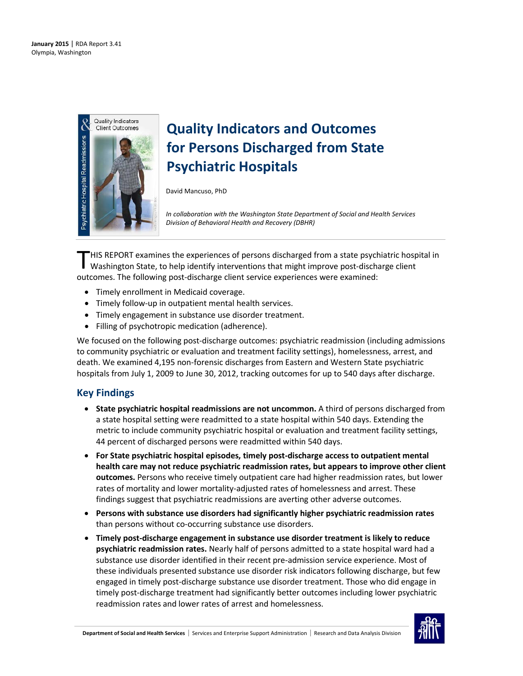

# **Quality Indicators and Outcomes for Persons Discharged from State Psychiatric Hospitals**

David Mancuso, PhD

*In collaboration with the Washington State Department of Social and Health Services Division of Behavioral Health and Recovery (DBHR)*

HIS REPORT examines the experiences of persons discharged from a state psychiatric hospital in THIS REPORT examines the experiences of persons discharged from a state psychiatric hosp<br>Washington State, to help identify interventions that might improve post-discharge client outcomes. The following post-discharge client service experiences were examined:

- Timely enrollment in Medicaid coverage.
- Timely follow-up in outpatient mental health services.
- Timely engagement in substance use disorder treatment.
- Filling of psychotropic medication (adherence).

We focused on the following post-discharge outcomes: psychiatric readmission (including admissions to community psychiatric or evaluation and treatment facility settings), homelessness, arrest, and death. We examined 4,195 non-forensic discharges from Eastern and Western State psychiatric hospitals from July 1, 2009 to June 30, 2012, tracking outcomes for up to 540 days after discharge.

### **Key Findings**

- **State psychiatric hospital readmissions are not uncommon.** A third of persons discharged from a state hospital setting were readmitted to a state hospital within 540 days. Extending the metric to include community psychiatric hospital or evaluation and treatment facility settings, 44 percent of discharged persons were readmitted within 540 days.
- **For State psychiatric hospital episodes, timely post-discharge access to outpatient mental health care may not reduce psychiatric readmission rates, but appears to improve other client outcomes.** Persons who receive timely outpatient care had higher readmission rates, but lower rates of mortality and lower mortality-adjusted rates of homelessness and arrest. These findings suggest that psychiatric readmissions are averting other adverse outcomes.
- **Persons with substance use disorders had significantly higher psychiatric readmission rates** than persons without co-occurring substance use disorders.
- **Timely post-discharge engagement in substance use disorder treatment is likely to reduce psychiatric readmission rates.** Nearly half of persons admitted to a state hospital ward had a substance use disorder identified in their recent pre-admission service experience. Most of these individuals presented substance use disorder risk indicators following discharge, but few engaged in timely post-discharge substance use disorder treatment. Those who did engage in timely post-discharge treatment had significantly better outcomes including lower psychiatric readmission rates and lower rates of arrest and homelessness.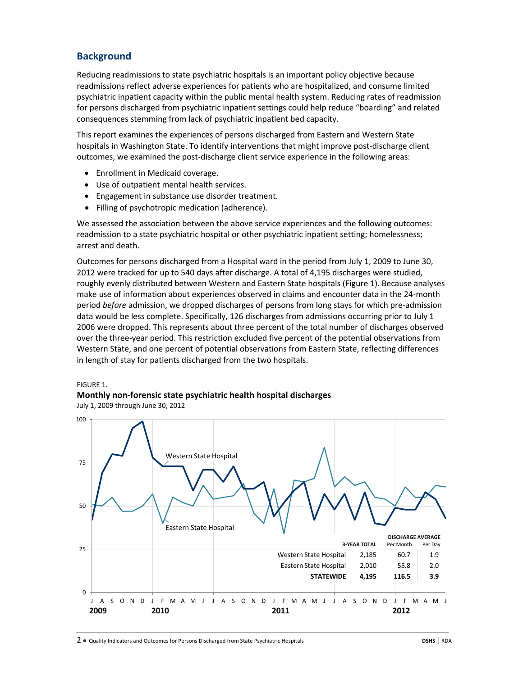# **Background**

Reducing readmissions to state psychiatric hospitals is an important policy objective because readmissions reflect adverse experiences for patients who are hospitalized, and consume limited psychiatric inpatient capacity within the public mental health system. Reducing rates of readmission for persons discharged from psychiatric inpatient settings could help reduce "boarding" and related consequences stemming from lack of psychiatric inpatient bed capacity.

This report examines the experiences of persons discharged from Eastern and Western State hospitals in Washington State. To identify interventions that might improve post-discharge client outcomes, we examined the post-discharge client service experience in the following areas:

- Enrollment in Medicaid coverage.
- Use of outpatient mental health services.
- Engagement in substance use disorder treatment.
- Filling of psychotropic medication (adherence).

We assessed the association between the above service experiences and the following outcomes: readmission to a state psychiatric hospital or other psychiatric inpatient setting; homelessness; arrest and death.

Outcomes for persons discharged from a Hospital ward in the period from July 1, 2009 to June 30, 2012 were tracked for up to 540 days after discharge. A total of 4,195 discharges were studied, roughly evenly distributed between Western and Eastern State hospitals (Figure 1). Because analyses make use of information about experiences observed in claims and encounter data in the 24-month period *before* admission, we dropped discharges of persons from long stays for which pre-admission data would be less complete. Specifically, 126 discharges from admissions occurring prior to July 1 2006 were dropped. This represents about three percent of the total number of discharges observed over the three-year period. This restriction excluded five percent of the potential observations from Western State, and one percent of potential observations from Eastern State, reflecting differences in length of stay for patients discharged from the two hospitals.

### FIGURE 1.

### **Monthly non-forensic state psychiatric health hospital discharges**

July 1, 2009 through June 30, 2012

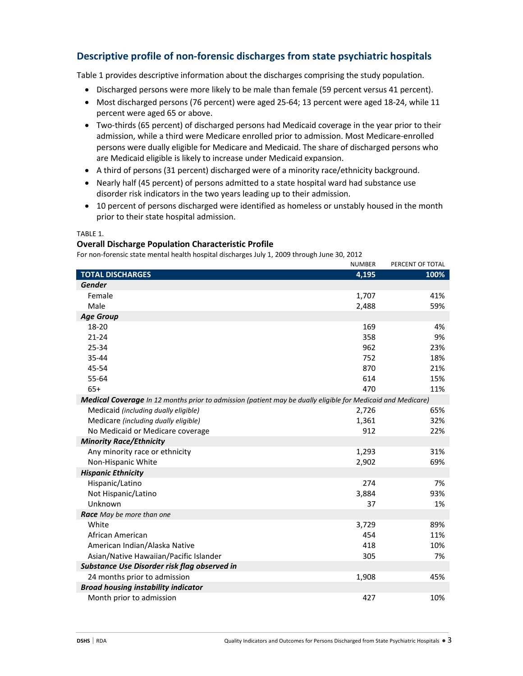# **Descriptive profile of non-forensic discharges from state psychiatric hospitals**

Table 1 provides descriptive information about the discharges comprising the study population.

- Discharged persons were more likely to be male than female (59 percent versus 41 percent).
- Most discharged persons (76 percent) were aged 25-64; 13 percent were aged 18-24, while 11 percent were aged 65 or above.
- Two-thirds (65 percent) of discharged persons had Medicaid coverage in the year prior to their admission, while a third were Medicare enrolled prior to admission. Most Medicare-enrolled persons were dually eligible for Medicare and Medicaid. The share of discharged persons who are Medicaid eligible is likely to increase under Medicaid expansion.
- A third of persons (31 percent) discharged were of a minority race/ethnicity background.
- Nearly half (45 percent) of persons admitted to a state hospital ward had substance use disorder risk indicators in the two years leading up to their admission.
- 10 percent of persons discharged were identified as homeless or unstably housed in the month prior to their state hospital admission.

### TABLE 1.

### **Overall Discharge Population Characteristic Profile**

For non-forensic state mental health hospital discharges July 1, 2009 through June 30, 2012

|                                                                                                             | <b>NUMBER</b> | PERCENT OF TOTAL |
|-------------------------------------------------------------------------------------------------------------|---------------|------------------|
| <b>TOTAL DISCHARGES</b>                                                                                     | 4,195         | 100%             |
| <b>Gender</b>                                                                                               |               |                  |
| Female                                                                                                      | 1,707         | 41%              |
| Male                                                                                                        | 2,488         | 59%              |
| <b>Age Group</b>                                                                                            |               |                  |
| 18-20                                                                                                       | 169           | 4%               |
| $21 - 24$                                                                                                   | 358           | 9%               |
| 25-34                                                                                                       | 962           | 23%              |
| 35-44                                                                                                       | 752           | 18%              |
| 45-54                                                                                                       | 870           | 21%              |
| 55-64                                                                                                       | 614           | 15%              |
| $65+$                                                                                                       | 470           | 11%              |
| Medical Coverage In 12 months prior to admission (patient may be dually eligible for Medicaid and Medicare) |               |                  |
| Medicaid (including dually eligible)                                                                        | 2,726         | 65%              |
| Medicare (including dually eligible)                                                                        | 1,361         | 32%              |
| No Medicaid or Medicare coverage                                                                            | 912           | 22%              |
| <b>Minority Race/Ethnicity</b>                                                                              |               |                  |
| Any minority race or ethnicity                                                                              | 1,293         | 31%              |
| Non-Hispanic White                                                                                          | 2,902         | 69%              |
| <b>Hispanic Ethnicity</b>                                                                                   |               |                  |
| Hispanic/Latino                                                                                             | 274           | 7%               |
| Not Hispanic/Latino                                                                                         | 3,884         | 93%              |
| Unknown                                                                                                     | 37            | 1%               |
| Race May be more than one                                                                                   |               |                  |
| White                                                                                                       | 3,729         | 89%              |
| African American                                                                                            | 454           | 11%              |
| American Indian/Alaska Native                                                                               | 418           | 10%              |
| Asian/Native Hawaiian/Pacific Islander                                                                      | 305           | 7%               |
| Substance Use Disorder risk flag observed in                                                                |               |                  |
| 24 months prior to admission                                                                                | 1,908         | 45%              |
| <b>Broad housing instability indicator</b>                                                                  |               |                  |
| Month prior to admission                                                                                    | 427           | 10%              |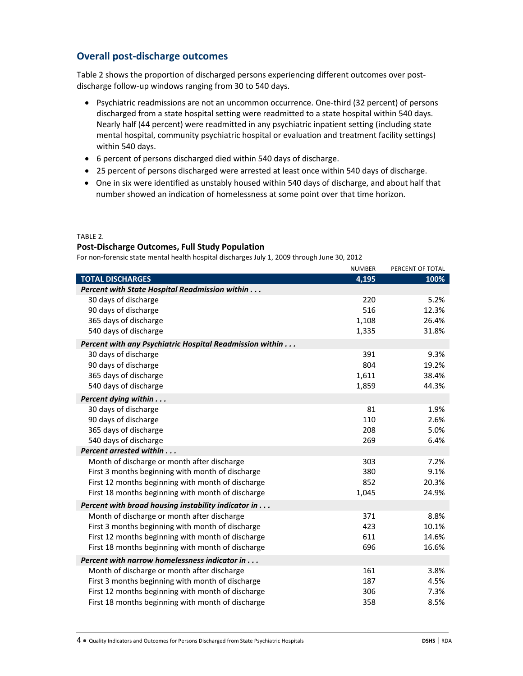# **Overall post-discharge outcomes**

Table 2 shows the proportion of discharged persons experiencing different outcomes over postdischarge follow-up windows ranging from 30 to 540 days.

- Psychiatric readmissions are not an uncommon occurrence. One-third (32 percent) of persons discharged from a state hospital setting were readmitted to a state hospital within 540 days. Nearly half (44 percent) were readmitted in any psychiatric inpatient setting (including state mental hospital, community psychiatric hospital or evaluation and treatment facility settings) within 540 days.
- 6 percent of persons discharged died within 540 days of discharge.
- 25 percent of persons discharged were arrested at least once within 540 days of discharge.
- One in six were identified as unstably housed within 540 days of discharge, and about half that number showed an indication of homelessness at some point over that time horizon.

### TABLE 2.

### **Post-Discharge Outcomes, Full Study Population**

For non-forensic state mental health hospital discharges July 1, 2009 through June 30, 2012

|                                                          | <b>NUMBER</b> | PERCENT OF TOTAL |
|----------------------------------------------------------|---------------|------------------|
| <b>TOTAL DISCHARGES</b>                                  | 4,195         | 100%             |
| <b>Percent with State Hospital Readmission within </b>   |               |                  |
| 30 days of discharge                                     | 220           | 5.2%             |
| 90 days of discharge                                     | 516           | 12.3%            |
| 365 days of discharge                                    | 1,108         | 26.4%            |
| 540 days of discharge                                    | 1,335         | 31.8%            |
| Percent with any Psychiatric Hospital Readmission within |               |                  |
| 30 days of discharge                                     | 391           | 9.3%             |
| 90 days of discharge                                     | 804           | 19.2%            |
| 365 days of discharge                                    | 1,611         | 38.4%            |
| 540 days of discharge                                    | 1,859         | 44.3%            |
| Percent dying within                                     |               |                  |
| 30 days of discharge                                     | 81            | 1.9%             |
| 90 days of discharge                                     | 110           | 2.6%             |
| 365 days of discharge                                    | 208           | 5.0%             |
| 540 days of discharge                                    | 269           | 6.4%             |
| Percent arrested within                                  |               |                  |
| Month of discharge or month after discharge              | 303           | 7.2%             |
| First 3 months beginning with month of discharge         | 380           | 9.1%             |
| First 12 months beginning with month of discharge        | 852           | 20.3%            |
| First 18 months beginning with month of discharge        | 1,045         | 24.9%            |
| Percent with broad housing instability indicator in      |               |                  |
| Month of discharge or month after discharge              | 371           | 8.8%             |
| First 3 months beginning with month of discharge         | 423           | 10.1%            |
| First 12 months beginning with month of discharge        | 611           | 14.6%            |
| First 18 months beginning with month of discharge        | 696           | 16.6%            |
| Percent with narrow homelessness indicator in            |               |                  |
| Month of discharge or month after discharge              | 161           | 3.8%             |
| First 3 months beginning with month of discharge         | 187           | 4.5%             |
| First 12 months beginning with month of discharge        | 306           | 7.3%             |
| First 18 months beginning with month of discharge        | 358           | 8.5%             |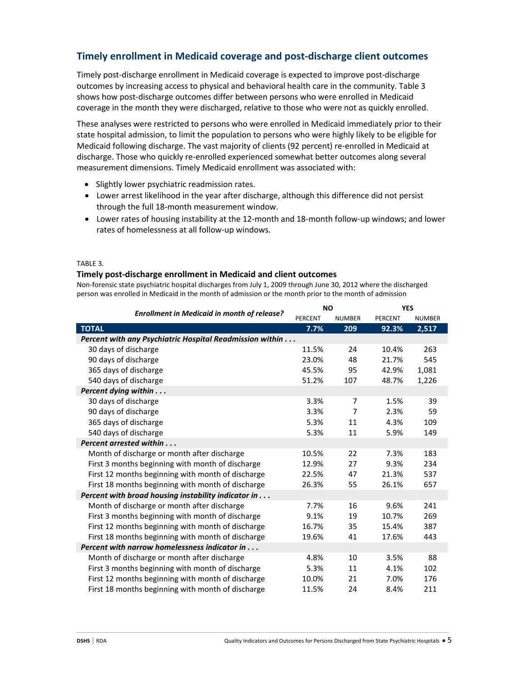# **Timely enrollment in Medicaid coverage and post-discharge client outcomes**

Timely post-discharge enrollment in Medicaid coverage is expected to improve post-discharge outcomes by increasing access to physical and behavioral health care in the community. Table 3 shows how post-discharge outcomes differ between persons who were enrolled in Medicaid coverage in the month they were discharged, relative to those who were not as quickly enrolled.

These analyses were restricted to persons who were enrolled in Medicaid immediately prior to their state hospital admission, to limit the population to persons who were highly likely to be eligible for Medicaid following discharge. The vast majority of clients (92 percent) re-enrolled in Medicaid at discharge. Those who quickly re-enrolled experienced somewhat better outcomes along several measurement dimensions. Timely Medicaid enrollment was associated with:

- Slightly lower psychiatric readmission rates.
- Lower arrest likelihood in the year after discharge, although this difference did not persist through the full 18-month measurement window.
- Lower rates of housing instability at the 12-month and 18-month follow-up windows; and lower rates of homelessness at all follow-up windows.

### TABLE 3.

### **Timely post-discharge enrollment in Medicaid and client outcomes**

Non-forensic state psychiatric hospital discharges from July 1, 2009 through June 30, 2012 where the discharged person was enrolled in Medicaid in the month of admission or the month prior to the month of admission

|                                                          | <b>NO</b>      |                | <b>YES</b> |               |
|----------------------------------------------------------|----------------|----------------|------------|---------------|
| <b>Enrollment in Medicaid in month of release?</b>       | <b>PERCENT</b> | <b>NUMBER</b>  | PERCENT    | <b>NUMBER</b> |
| <b>TOTAL</b>                                             | 7.7%           | 209            | 92.3%      | 2,517         |
| Percent with any Psychiatric Hospital Readmission within |                |                |            |               |
| 30 days of discharge                                     | 11.5%          | 24             | 10.4%      | 263           |
| 90 days of discharge                                     | 23.0%          | 48             | 21.7%      | 545           |
| 365 days of discharge                                    | 45.5%          | 95             | 42.9%      | 1,081         |
| 540 days of discharge                                    | 51.2%          | 107            | 48.7%      | 1,226         |
| Percent dying within                                     |                |                |            |               |
| 30 days of discharge                                     | 3.3%           | $\overline{7}$ | 1.5%       | 39            |
| 90 days of discharge                                     | 3.3%           | 7              | 2.3%       | 59            |
| 365 days of discharge                                    | 5.3%           | 11             | 4.3%       | 109           |
| 540 days of discharge                                    | 5.3%           | 11             | 5.9%       | 149           |
| Percent arrested within                                  |                |                |            |               |
| Month of discharge or month after discharge              | 10.5%          | 22             | 7.3%       | 183           |
| First 3 months beginning with month of discharge         | 12.9%          | 27             | 9.3%       | 234           |
| First 12 months beginning with month of discharge        | 22.5%          | 47             | 21.3%      | 537           |
| First 18 months beginning with month of discharge        | 26.3%          | 55             | 26.1%      | 657           |
| Percent with broad housing instability indicator in      |                |                |            |               |
| Month of discharge or month after discharge              | 7.7%           | 16             | 9.6%       | 241           |
| First 3 months beginning with month of discharge         | 9.1%           | 19             | 10.7%      | 269           |
| First 12 months beginning with month of discharge        | 16.7%          | 35             | 15.4%      | 387           |
| First 18 months beginning with month of discharge        | 19.6%          | 41             | 17.6%      | 443           |
| Percent with narrow homelessness indicator in            |                |                |            |               |
| Month of discharge or month after discharge              | 4.8%           | 10             | 3.5%       | 88            |
| First 3 months beginning with month of discharge         | 5.3%           | 11             | 4.1%       | 102           |
| First 12 months beginning with month of discharge        | 10.0%          | 21             | 7.0%       | 176           |
| First 18 months beginning with month of discharge        | 11.5%          | 24             | 8.4%       | 211           |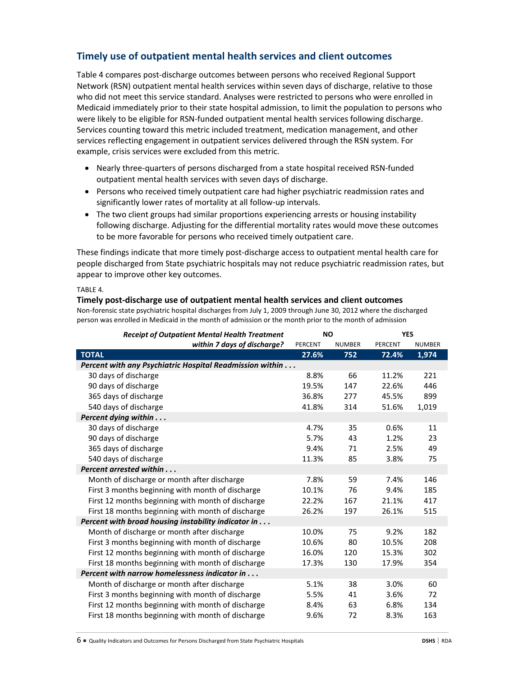# **Timely use of outpatient mental health services and client outcomes**

Table 4 compares post-discharge outcomes between persons who received Regional Support Network (RSN) outpatient mental health services within seven days of discharge, relative to those who did not meet this service standard. Analyses were restricted to persons who were enrolled in Medicaid immediately prior to their state hospital admission, to limit the population to persons who were likely to be eligible for RSN-funded outpatient mental health services following discharge. Services counting toward this metric included treatment, medication management, and other services reflecting engagement in outpatient services delivered through the RSN system. For example, crisis services were excluded from this metric.

- Nearly three-quarters of persons discharged from a state hospital received RSN-funded outpatient mental health services with seven days of discharge.
- Persons who received timely outpatient care had higher psychiatric readmission rates and significantly lower rates of mortality at all follow-up intervals.
- The two client groups had similar proportions experiencing arrests or housing instability following discharge. Adjusting for the differential mortality rates would move these outcomes to be more favorable for persons who received timely outpatient care.

These findings indicate that more timely post-discharge access to outpatient mental health care for people discharged from State psychiatric hospitals may not reduce psychiatric readmission rates, but appear to improve other key outcomes.

### TABLE 4.

### **Timely post-discharge use of outpatient mental health services and client outcomes**

Non-forensic state psychiatric hospital discharges from July 1, 2009 through June 30, 2012 where the discharged person was enrolled in Medicaid in the month of admission or the month prior to the month of admission

| <b>Receipt of Outpatient Mental Health Treatment</b>     | <b>NO</b> |               | <b>YES</b> |               |
|----------------------------------------------------------|-----------|---------------|------------|---------------|
| within 7 days of discharge?                              | PERCENT   | <b>NUMBER</b> | PERCENT    | <b>NUMBER</b> |
| <b>TOTAL</b>                                             | 27.6%     | 752           | 72.4%      | 1,974         |
| Percent with any Psychiatric Hospital Readmission within |           |               |            |               |
| 30 days of discharge                                     | 8.8%      | 66            | 11.2%      | 221           |
| 90 days of discharge                                     | 19.5%     | 147           | 22.6%      | 446           |
| 365 days of discharge                                    | 36.8%     | 277           | 45.5%      | 899           |
| 540 days of discharge                                    | 41.8%     | 314           | 51.6%      | 1,019         |
| Percent dying within                                     |           |               |            |               |
| 30 days of discharge                                     | 4.7%      | 35            | 0.6%       | 11            |
| 90 days of discharge                                     | 5.7%      | 43            | 1.2%       | 23            |
| 365 days of discharge                                    | 9.4%      | 71            | 2.5%       | 49            |
| 540 days of discharge                                    | 11.3%     | 85            | 3.8%       | 75            |
| Percent arrested within                                  |           |               |            |               |
| Month of discharge or month after discharge              | 7.8%      | 59            | 7.4%       | 146           |
| First 3 months beginning with month of discharge         | 10.1%     | 76            | 9.4%       | 185           |
| First 12 months beginning with month of discharge        | 22.2%     | 167           | 21.1%      | 417           |
| First 18 months beginning with month of discharge        | 26.2%     | 197           | 26.1%      | 515           |
| Percent with broad housing instability indicator in      |           |               |            |               |
| Month of discharge or month after discharge              | 10.0%     | 75            | 9.2%       | 182           |
| First 3 months beginning with month of discharge         | 10.6%     | 80            | 10.5%      | 208           |
| First 12 months beginning with month of discharge        | 16.0%     | 120           | 15.3%      | 302           |
| First 18 months beginning with month of discharge        | 17.3%     | 130           | 17.9%      | 354           |
| Percent with narrow homelessness indicator in            |           |               |            |               |
| Month of discharge or month after discharge              | 5.1%      | 38            | 3.0%       | 60            |
| First 3 months beginning with month of discharge         | 5.5%      | 41            | 3.6%       | 72            |
| First 12 months beginning with month of discharge        | 8.4%      | 63            | 6.8%       | 134           |
| First 18 months beginning with month of discharge        | 9.6%      | 72            | 8.3%       | 163           |

6 ● Quality Indicators and Outcomes for Persons Discharged from State Psychiatric Hospitals **DSHS** | RDA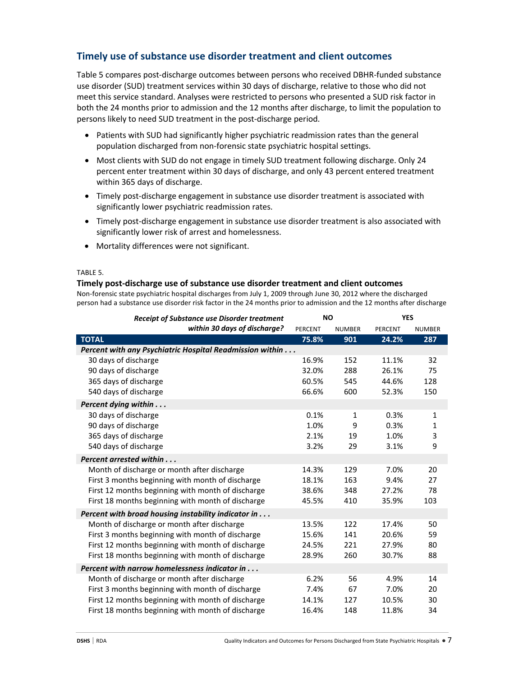# **Timely use of substance use disorder treatment and client outcomes**

Table 5 compares post-discharge outcomes between persons who received DBHR-funded substance use disorder (SUD) treatment services within 30 days of discharge, relative to those who did not meet this service standard. Analyses were restricted to persons who presented a SUD risk factor in both the 24 months prior to admission and the 12 months after discharge, to limit the population to persons likely to need SUD treatment in the post-discharge period.

- Patients with SUD had significantly higher psychiatric readmission rates than the general population discharged from non-forensic state psychiatric hospital settings.
- Most clients with SUD do not engage in timely SUD treatment following discharge. Only 24 percent enter treatment within 30 days of discharge, and only 43 percent entered treatment within 365 days of discharge.
- Timely post-discharge engagement in substance use disorder treatment is associated with significantly lower psychiatric readmission rates.
- Timely post-discharge engagement in substance use disorder treatment is also associated with significantly lower risk of arrest and homelessness.
- Mortality differences were not significant.

### TABLE 5.

### **Timely post-discharge use of substance use disorder treatment and client outcomes**

Non-forensic state psychiatric hospital discharges from July 1, 2009 through June 30, 2012 where the discharged person had a substance use disorder risk factor in the 24 months prior to admission and the 12 months after discharge

| <b>Receipt of Substance use Disorder treatment</b>       | <b>NO</b> |               | <b>YES</b> |               |
|----------------------------------------------------------|-----------|---------------|------------|---------------|
| within 30 days of discharge?                             | PERCENT   | <b>NUMBER</b> | PERCENT    | <b>NUMBER</b> |
| <b>TOTAL</b>                                             | 75.8%     | 901           | 24.2%      | 287           |
| Percent with any Psychiatric Hospital Readmission within |           |               |            |               |
| 30 days of discharge                                     | 16.9%     | 152           | 11.1%      | 32            |
| 90 days of discharge                                     | 32.0%     | 288           | 26.1%      | 75            |
| 365 days of discharge                                    | 60.5%     | 545           | 44.6%      | 128           |
| 540 days of discharge                                    | 66.6%     | 600           | 52.3%      | 150           |
| Percent dying within                                     |           |               |            |               |
| 30 days of discharge                                     | 0.1%      | 1             | 0.3%       | 1             |
| 90 days of discharge                                     | 1.0%      | 9             | 0.3%       | $\mathbf{1}$  |
| 365 days of discharge                                    | 2.1%      | 19            | 1.0%       | 3             |
| 540 days of discharge                                    | 3.2%      | 29            | 3.1%       | 9             |
| Percent arrested within                                  |           |               |            |               |
| Month of discharge or month after discharge              | 14.3%     | 129           | 7.0%       | 20            |
| First 3 months beginning with month of discharge         | 18.1%     | 163           | 9.4%       | 27            |
| First 12 months beginning with month of discharge        | 38.6%     | 348           | 27.2%      | 78            |
| First 18 months beginning with month of discharge        | 45.5%     | 410           | 35.9%      | 103           |
| Percent with broad housing instability indicator in      |           |               |            |               |
| Month of discharge or month after discharge              | 13.5%     | 122           | 17.4%      | 50            |
| First 3 months beginning with month of discharge         | 15.6%     | 141           | 20.6%      | 59            |
| First 12 months beginning with month of discharge        | 24.5%     | 221           | 27.9%      | 80            |
| First 18 months beginning with month of discharge        | 28.9%     | 260           | 30.7%      | 88            |
| Percent with narrow homelessness indicator in            |           |               |            |               |
| Month of discharge or month after discharge              | 6.2%      | 56            | 4.9%       | 14            |
| First 3 months beginning with month of discharge         | 7.4%      | 67            | 7.0%       | 20            |
| First 12 months beginning with month of discharge        | 14.1%     | 127           | 10.5%      | 30            |
| First 18 months beginning with month of discharge        | 16.4%     | 148           | 11.8%      | 34            |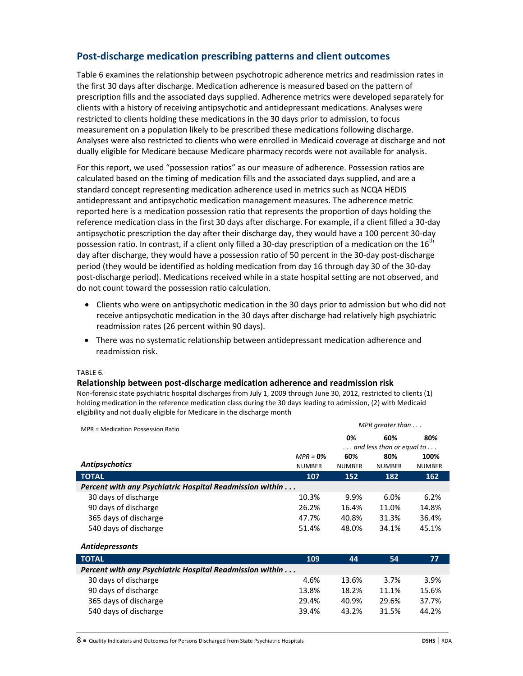# **Post-discharge medication prescribing patterns and client outcomes**

Table 6 examines the relationship between psychotropic adherence metrics and readmission rates in the first 30 days after discharge. Medication adherence is measured based on the pattern of prescription fills and the associated days supplied. Adherence metrics were developed separately for clients with a history of receiving antipsychotic and antidepressant medications. Analyses were restricted to clients holding these medications in the 30 days prior to admission, to focus measurement on a population likely to be prescribed these medications following discharge. Analyses were also restricted to clients who were enrolled in Medicaid coverage at discharge and not dually eligible for Medicare because Medicare pharmacy records were not available for analysis.

For this report, we used "possession ratios" as our measure of adherence. Possession ratios are calculated based on the timing of medication fills and the associated days supplied, and are a standard concept representing medication adherence used in metrics such as NCQA HEDIS antidepressant and antipsychotic medication management measures. The adherence metric reported here is a medication possession ratio that represents the proportion of days holding the reference medication class in the first 30 days after discharge. For example, if a client filled a 30-day antipsychotic prescription the day after their discharge day, they would have a 100 percent 30-day possession ratio. In contrast, if a client only filled a 30-day prescription of a medication on the  $16^{th}$ day after discharge, they would have a possession ratio of 50 percent in the 30-day post-discharge period (they would be identified as holding medication from day 16 through day 30 of the 30-day post-discharge period). Medications received while in a state hospital setting are not observed, and do not count toward the possession ratio calculation.

- Clients who were on antipsychotic medication in the 30 days prior to admission but who did not receive antipsychotic medication in the 30 days after discharge had relatively high psychiatric readmission rates (26 percent within 90 days).
- There was no systematic relationship between antidepressant medication adherence and readmission risk.

### TABLE 6.

### **Relationship between post-discharge medication adherence and readmission risk**

Non-forensic state psychiatric hospital discharges from July 1, 2009 through June 30, 2012, restricted to clients (1) holding medication in the reference medication class during the 30 days leading to admission, (2) with Medicaid eligibility and not dually eligible for Medicare in the discharge month

| MPR = Medication Possession Ratio                                | MPR greater than $\dots$ |                                           |               |               |
|------------------------------------------------------------------|--------------------------|-------------------------------------------|---------------|---------------|
|                                                                  |                          | 0%                                        | 60%           | 80%           |
|                                                                  |                          | $\dots$ and less than or equal to $\dots$ |               |               |
|                                                                  | $MPR = 0\%$              | 60%                                       | 80%           | 100%          |
| <b>Antipsychotics</b>                                            | <b>NUMBER</b>            | <b>NUMBER</b>                             | <b>NUMBER</b> | <b>NUMBER</b> |
| <b>TOTAL</b>                                                     | 107                      | 152                                       | 182           | 162           |
| Percent with any Psychiatric Hospital Readmission within         |                          |                                           |               |               |
| 30 days of discharge                                             | 10.3%                    | 9.9%                                      | 6.0%          | 6.2%          |
| 90 days of discharge                                             | 26.2%                    | 16.4%                                     | 11.0%         | 14.8%         |
| 365 days of discharge                                            | 47.7%                    | 40.8%                                     | 31.3%         | 36.4%         |
| 540 days of discharge                                            | 51.4%                    | 48.0%                                     | 34.1%         | 45.1%         |
| <b>Antidepressants</b>                                           |                          |                                           |               |               |
| <b>TOTAL</b>                                                     | 109                      | 44                                        | 54            | 77            |
| <b>Percent with any Psychiatric Hospital Readmission within </b> |                          |                                           |               |               |
| 30 days of discharge                                             | 4.6%                     | 13.6%                                     | 3.7%          | 3.9%          |
| 90 days of discharge                                             | 13.8%                    | 18.2%                                     | 11.1%         | 15.6%         |
| 365 days of discharge                                            | 29.4%                    | 40.9%                                     | 29.6%         | 37.7%         |

540 days of discharge 39.4% 43.2% 31.5% 44.2%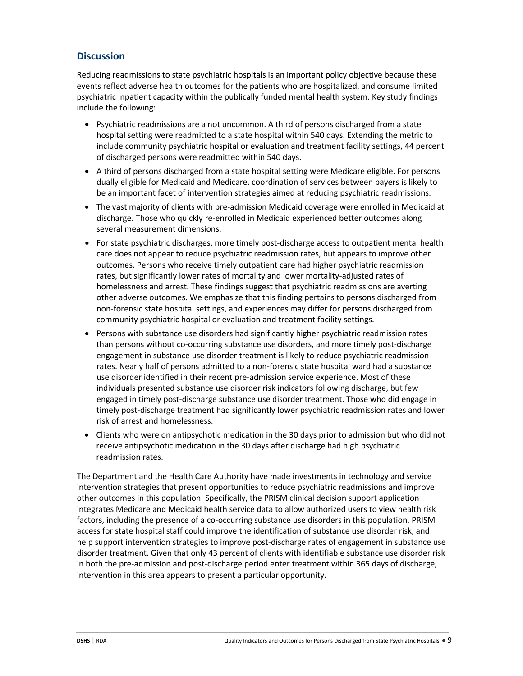### **Discussion**

Reducing readmissions to state psychiatric hospitals is an important policy objective because these events reflect adverse health outcomes for the patients who are hospitalized, and consume limited psychiatric inpatient capacity within the publically funded mental health system. Key study findings include the following:

- Psychiatric readmissions are a not uncommon. A third of persons discharged from a state hospital setting were readmitted to a state hospital within 540 days. Extending the metric to include community psychiatric hospital or evaluation and treatment facility settings, 44 percent of discharged persons were readmitted within 540 days.
- A third of persons discharged from a state hospital setting were Medicare eligible. For persons dually eligible for Medicaid and Medicare, coordination of services between payers is likely to be an important facet of intervention strategies aimed at reducing psychiatric readmissions.
- The vast majority of clients with pre-admission Medicaid coverage were enrolled in Medicaid at discharge. Those who quickly re-enrolled in Medicaid experienced better outcomes along several measurement dimensions.
- For state psychiatric discharges, more timely post-discharge access to outpatient mental health care does not appear to reduce psychiatric readmission rates, but appears to improve other outcomes. Persons who receive timely outpatient care had higher psychiatric readmission rates, but significantly lower rates of mortality and lower mortality-adjusted rates of homelessness and arrest. These findings suggest that psychiatric readmissions are averting other adverse outcomes. We emphasize that this finding pertains to persons discharged from non-forensic state hospital settings, and experiences may differ for persons discharged from community psychiatric hospital or evaluation and treatment facility settings.
- Persons with substance use disorders had significantly higher psychiatric readmission rates than persons without co-occurring substance use disorders, and more timely post-discharge engagement in substance use disorder treatment is likely to reduce psychiatric readmission rates. Nearly half of persons admitted to a non-forensic state hospital ward had a substance use disorder identified in their recent pre-admission service experience. Most of these individuals presented substance use disorder risk indicators following discharge, but few engaged in timely post-discharge substance use disorder treatment. Those who did engage in timely post-discharge treatment had significantly lower psychiatric readmission rates and lower risk of arrest and homelessness.
- Clients who were on antipsychotic medication in the 30 days prior to admission but who did not receive antipsychotic medication in the 30 days after discharge had high psychiatric readmission rates.

The Department and the Health Care Authority have made investments in technology and service intervention strategies that present opportunities to reduce psychiatric readmissions and improve other outcomes in this population. Specifically, the PRISM clinical decision support application integrates Medicare and Medicaid health service data to allow authorized users to view health risk factors, including the presence of a co-occurring substance use disorders in this population. PRISM access for state hospital staff could improve the identification of substance use disorder risk, and help support intervention strategies to improve post-discharge rates of engagement in substance use disorder treatment. Given that only 43 percent of clients with identifiable substance use disorder risk in both the pre-admission and post-discharge period enter treatment within 365 days of discharge, intervention in this area appears to present a particular opportunity.